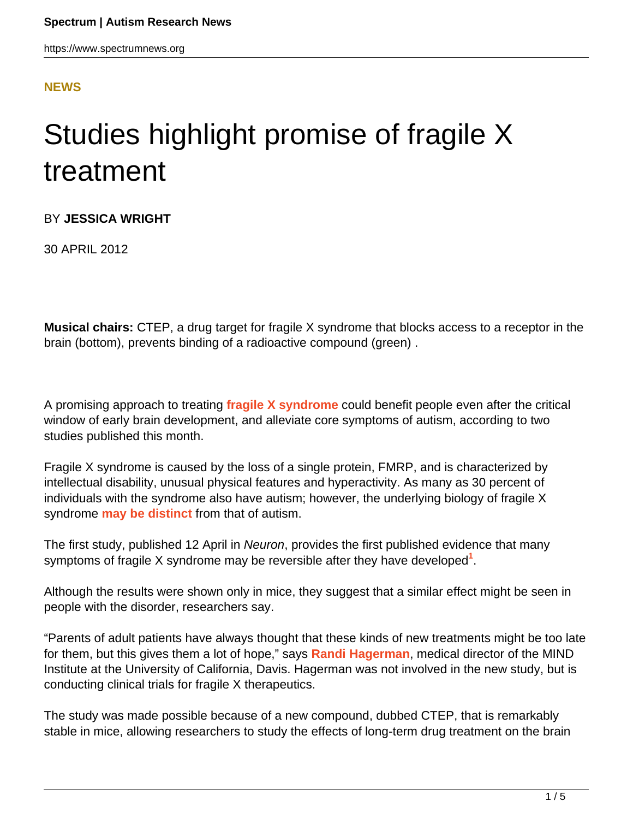### **[NEWS](HTTPS://WWW.SPECTRUMNEWS.ORG/NEWS/)**

# Studies highlight promise of fragile X treatment

BY **JESSICA WRIGHT**

30 APRIL 2012

**Musical chairs:** CTEP, a drug target for fragile X syndrome that blocks access to a receptor in the brain (bottom), prevents binding of a radioactive compound (green) .

A promising approach to treating **[fragile X syndrome](../../../resources/sfari-wiki/fragile-x)** could benefit people even after the critical window of early brain development, and alleviate core symptoms of autism, according to two studies published this month.

Fragile X syndrome is caused by the loss of a single protein, FMRP, and is characterized by intellectual disability, unusual physical features and hyperactivity. As many as 30 percent of individuals with the syndrome also have autism; however, the underlying biology of fragile X syndrome **[may be distinct](https://www.spectrumnews.org/news/2008/autism-and-fragile-x-marked-by-striking-differences-in-the-brain)** from that of autism.

The first study, published 12 April in Neuron, provides the first published evidence that many symptoms of fragile X syndrome may be reversible after they have developed**<sup>1</sup>** .

Although the results were shown only in mice, they suggest that a similar effect might be seen in people with the disorder, researchers say.

"Parents of adult patients have always thought that these kinds of new treatments might be too late for them, but this gives them a lot of hope," says **[Randi Hagerman](http://www.ucdmc.ucdavis.edu/search/faculty/biodetail.asp?bioid=615&searchtype=&fromsearchlist=yes)**, medical director of the MIND Institute at the University of California, Davis. Hagerman was not involved in the new study, but is conducting clinical trials for fragile X therapeutics.

The study was made possible because of a new compound, dubbed CTEP, that is remarkably stable in mice, allowing researchers to study the effects of long-term drug treatment on the brain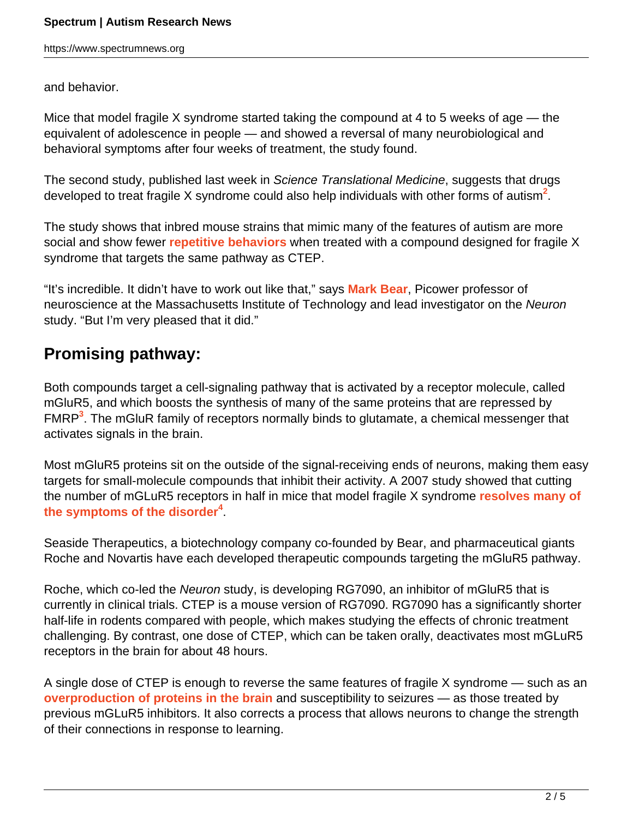https://www.spectrumnews.org

and behavior.

Mice that model fragile X syndrome started taking the compound at 4 to 5 weeks of age — the equivalent of adolescence in people — and showed a reversal of many neurobiological and behavioral symptoms after four weeks of treatment, the study found.

The second study, published last week in Science Translational Medicine, suggests that drugs developed to treat fragile X syndrome could also help individuals with other forms of autism**<sup>2</sup>** .

The study shows that inbred mouse strains that mimic many of the features of autism are more social and show fewer **[repetitive behaviors](../../../resources/sfari-wiki/repetitive-behavior)** when treated with a compound designed for fragile X syndrome that targets the same pathway as CTEP.

"It's incredible. It didn't have to work out like that," says **[Mark Bear](/author/?author=https%3A%2Fid.sfari.org%2Fmarkbear)**, Picower professor of neuroscience at the Massachusetts Institute of Technology and lead investigator on the Neuron study. "But I'm very pleased that it did."

## **Promising pathway:**

Both compounds target a cell-signaling pathway that is activated by a receptor molecule, called mGluR5, and which boosts the synthesis of many of the same proteins that are repressed by FMRP**<sup>3</sup>** . The mGluR family of receptors normally binds to glutamate, a chemical messenger that activates signals in the brain.

Most mGluR5 proteins sit on the outside of the signal-receiving ends of neurons, making them easy targets for small-molecule compounds that inhibit their activity. A 2007 study showed that cutting the number of mGLuR5 receptors in half in mice that model fragile X syndrome **[resolves many of](https://www.spectrumnews.org/news/2008/fragile-x-symptoms-reversed-in-mice) [the symptoms of the disorder](https://www.spectrumnews.org/news/2008/fragile-x-symptoms-reversed-in-mice)<sup>4</sup>** .

Seaside Therapeutics, a biotechnology company co-founded by Bear, and pharmaceutical giants Roche and Novartis have each developed therapeutic compounds targeting the mGluR5 pathway.

Roche, which co-led the Neuron study, is developing RG7090, an inhibitor of mGluR5 that is currently in clinical trials. CTEP is a mouse version of RG7090. RG7090 has a significantly shorter half-life in rodents compared with people, which makes studying the effects of chronic treatment challenging. By contrast, one dose of CTEP, which can be taken orally, deactivates most mGLuR5 receptors in the brain for about 48 hours.

A single dose of CTEP is enough to reverse the same features of fragile X syndrome — such as an **[overproduction of proteins in the brain](https://www.spectrumnews.org/in-brief/2012/molecular-mechanisms-lithium-treats-fragile-x-in-mice)** and susceptibility to seizures — as those treated by previous mGLuR5 inhibitors. It also corrects a process that allows neurons to change the strength of their connections in response to learning.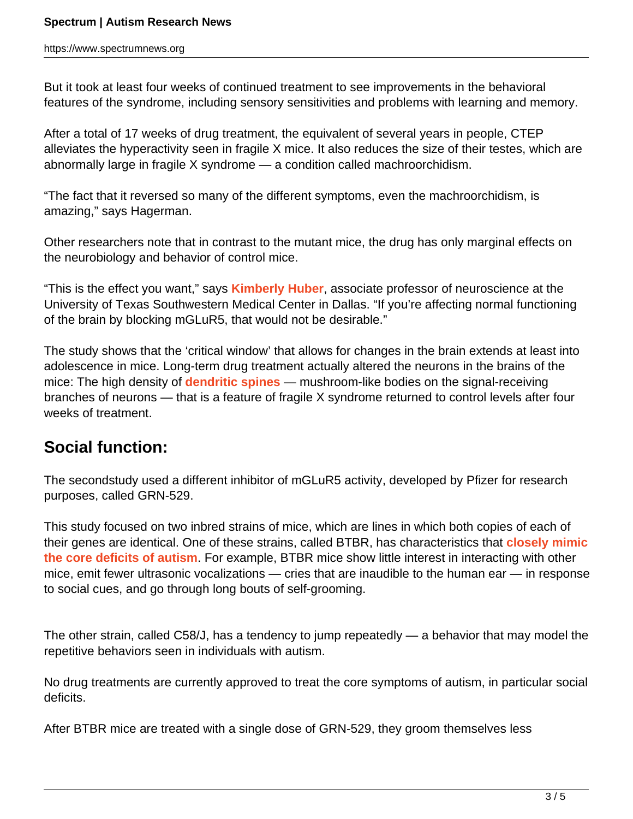But it took at least four weeks of continued treatment to see improvements in the behavioral features of the syndrome, including sensory sensitivities and problems with learning and memory.

After a total of 17 weeks of drug treatment, the equivalent of several years in people, CTEP alleviates the hyperactivity seen in fragile X mice. It also reduces the size of their testes, which are abnormally large in fragile X syndrome — a condition called machroorchidism.

"The fact that it reversed so many of the different symptoms, even the machroorchidism, is amazing," says Hagerman.

Other researchers note that in contrast to the mutant mice, the drug has only marginal effects on the neurobiology and behavior of control mice.

"This is the effect you want," says **[Kimberly Huber](/author/?author=https%3A%2Fid.sfari.org%2Fkimberlyhuber)**, associate professor of neuroscience at the University of Texas Southwestern Medical Center in Dallas. "If you're affecting normal functioning of the brain by blocking mGLuR5, that would not be desirable."

The study shows that the 'critical window' that allows for changes in the brain extends at least into adolescence in mice. Long-term drug treatment actually altered the neurons in the brains of the mice: The high density of **[dendritic spines](../../../resources/sfari-wiki/dendritic-spines)** — mushroom-like bodies on the signal-receiving branches of neurons — that is a feature of fragile X syndrome returned to control levels after four weeks of treatment.

## **Social function:**

The secondstudy used a different inhibitor of mGLuR5 activity, developed by Pfizer for research purposes, called GRN-529.

This study focused on two inbred strains of mice, which are lines in which both copies of each of their genes are identical. One of these strains, called BTBR, has characteristics that **[closely mimic](https://www.spectrumnews.org/conference-news/2010/society-for-neuroscience-2010/asocial-btbr-strain-is-autistic-mouse-researcher-claims) [the core deficits of autism](https://www.spectrumnews.org/conference-news/2010/society-for-neuroscience-2010/asocial-btbr-strain-is-autistic-mouse-researcher-claims)**. For example, BTBR mice show little interest in interacting with other mice, emit fewer ultrasonic vocalizations — cries that are inaudible to the human ear — in response to social cues, and go through long bouts of self-grooming.

The other strain, called C58/J, has a tendency to jump repeatedly — a behavior that may model the repetitive behaviors seen in individuals with autism.

No drug treatments are currently approved to treat the core symptoms of autism, in particular social deficits.

After BTBR mice are treated with a single dose of GRN-529, they groom themselves less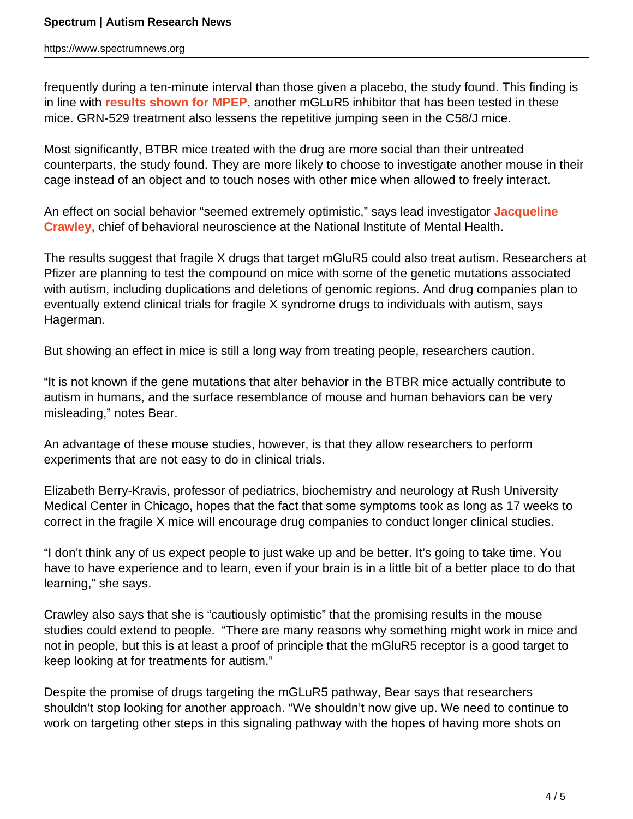frequently during a ten-minute interval than those given a placebo, the study found. This finding is in line with **[results shown for MPEP](https://www.spectrumnews.org/conference-news/2009/society-for-neuroscience-2009/therapies-reverse-autism-in-mouse-model)**, another mGLuR5 inhibitor that has been tested in these mice. GRN-529 treatment also lessens the repetitive jumping seen in the C58/J mice.

Most significantly, BTBR mice treated with the drug are more social than their untreated counterparts, the study found. They are more likely to choose to investigate another mouse in their cage instead of an object and to touch noses with other mice when allowed to freely interact.

An effect on social behavior "seemed extremely optimistic," says lead investigator **[Jacqueline](http://intramural.nimh.nih.gov/research/pi/pi_crawley_j.html) [Crawley](http://intramural.nimh.nih.gov/research/pi/pi_crawley_j.html)**, chief of behavioral neuroscience at the National Institute of Mental Health.

The results suggest that fragile X drugs that target mGluR5 could also treat autism. Researchers at Pfizer are planning to test the compound on mice with some of the genetic mutations associated with autism, including duplications and deletions of genomic regions. And drug companies plan to eventually extend clinical trials for fragile X syndrome drugs to individuals with autism, says Hagerman.

But showing an effect in mice is still a long way from treating people, researchers caution.

"It is not known if the gene mutations that alter behavior in the BTBR mice actually contribute to autism in humans, and the surface resemblance of mouse and human behaviors can be very misleading," notes Bear.

An advantage of these mouse studies, however, is that they allow researchers to perform experiments that are not easy to do in clinical trials.

Elizabeth Berry-Kravis, professor of pediatrics, biochemistry and neurology at Rush University Medical Center in Chicago, hopes that the fact that some symptoms took as long as 17 weeks to correct in the fragile X mice will encourage drug companies to conduct longer clinical studies.

"I don't think any of us expect people to just wake up and be better. It's going to take time. You have to have experience and to learn, even if your brain is in a little bit of a better place to do that learning," she says.

Crawley also says that she is "cautiously optimistic" that the promising results in the mouse studies could extend to people. "There are many reasons why something might work in mice and not in people, but this is at least a proof of principle that the mGluR5 receptor is a good target to keep looking at for treatments for autism."

Despite the promise of drugs targeting the mGLuR5 pathway, Bear says that researchers shouldn't stop looking for another approach. "We shouldn't now give up. We need to continue to work on targeting other steps in this signaling pathway with the hopes of having more shots on